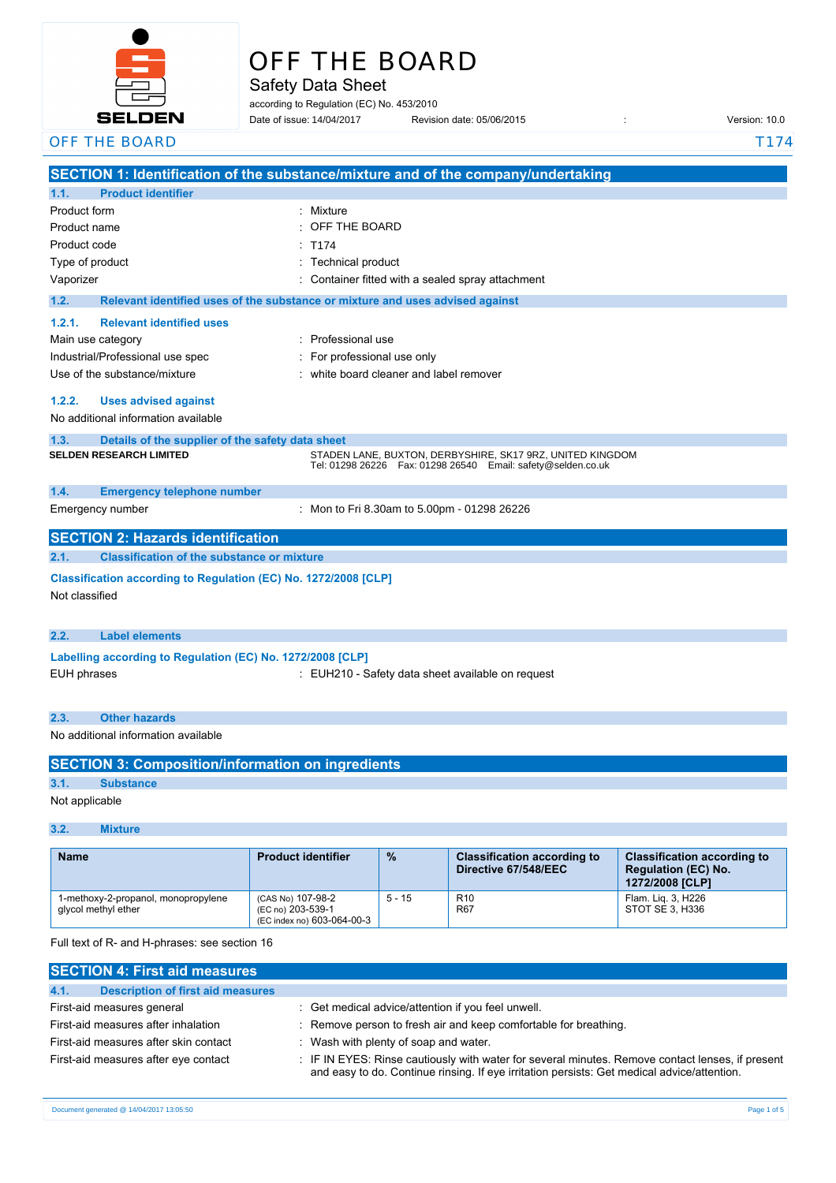

# OFF THE BOARD

Safety Data Sheet

according to Regulation (EC) No. 453/2010 Date of issue: Revision date: 05/06/2015 : Version: 10.0 Date of issue: 14/04/2017

| OFF THE BOARD                                                           |                                                                                                                                 | T174 |  |  |
|-------------------------------------------------------------------------|---------------------------------------------------------------------------------------------------------------------------------|------|--|--|
|                                                                         | SECTION 1: Identification of the substance/mixture and of the company/undertaking                                               |      |  |  |
| 1.1.<br><b>Product identifier</b>                                       |                                                                                                                                 |      |  |  |
| Product form                                                            | : Mixture                                                                                                                       |      |  |  |
| Product name                                                            | OFF THE BOARD                                                                                                                   |      |  |  |
| Product code                                                            | T174                                                                                                                            |      |  |  |
| Type of product                                                         | : Technical product                                                                                                             |      |  |  |
| Vaporizer                                                               | Container fitted with a sealed spray attachment                                                                                 |      |  |  |
| 1.2.                                                                    | Relevant identified uses of the substance or mixture and uses advised against                                                   |      |  |  |
| 1.2.1.<br><b>Relevant identified uses</b>                               |                                                                                                                                 |      |  |  |
| Main use category                                                       | : Professional use                                                                                                              |      |  |  |
| Industrial/Professional use spec                                        | For professional use only                                                                                                       |      |  |  |
| Use of the substance/mixture                                            | white board cleaner and label remover                                                                                           |      |  |  |
| 1.2.2.<br><b>Uses advised against</b>                                   |                                                                                                                                 |      |  |  |
| No additional information available                                     |                                                                                                                                 |      |  |  |
| Details of the supplier of the safety data sheet<br>1.3.                |                                                                                                                                 |      |  |  |
| <b>SELDEN RESEARCH LIMITED</b>                                          | STADEN LANE, BUXTON, DERBYSHIRE, SK17 9RZ, UNITED KINGDOM<br>Tel: 01298 26226    Fax: 01298 26540    Email: safety@selden.co.uk |      |  |  |
| 1.4.<br><b>Emergency telephone number</b>                               |                                                                                                                                 |      |  |  |
| Emergency number                                                        | : Mon to Fri 8.30am to 5.00pm - 01298 26226                                                                                     |      |  |  |
| <b>SECTION 2: Hazards identification</b>                                |                                                                                                                                 |      |  |  |
| 2.1.<br><b>Classification of the substance or mixture</b>               |                                                                                                                                 |      |  |  |
| Classification according to Regulation (EC) No. 1272/2008 [CLP]         |                                                                                                                                 |      |  |  |
| Not classified                                                          |                                                                                                                                 |      |  |  |
|                                                                         |                                                                                                                                 |      |  |  |
| <b>Label elements</b><br>2.2.                                           |                                                                                                                                 |      |  |  |
| Labelling according to Regulation (EC) No. 1272/2008 [CLP]              |                                                                                                                                 |      |  |  |
| <b>EUH phrases</b><br>: EUH210 - Safety data sheet available on request |                                                                                                                                 |      |  |  |
|                                                                         |                                                                                                                                 |      |  |  |
| 2.3.<br><b>Other hazards</b>                                            |                                                                                                                                 |      |  |  |
| No additional information available                                     |                                                                                                                                 |      |  |  |
| <b>SECTION 3: Composition/information on ingredients</b>                |                                                                                                                                 |      |  |  |
| 3.1.<br><b>Substance</b>                                                |                                                                                                                                 |      |  |  |
| Not applicable                                                          |                                                                                                                                 |      |  |  |
|                                                                         |                                                                                                                                 |      |  |  |

**3.2. Mixture**

| <b>Name</b>                                                | <b>Product identifier</b>                                            | $\frac{9}{6}$ | <b>Classification according to</b><br>Directive 67/548/EEC | <b>Classification according to</b><br><b>Regulation (EC) No.</b><br>1272/2008 [CLP] |
|------------------------------------------------------------|----------------------------------------------------------------------|---------------|------------------------------------------------------------|-------------------------------------------------------------------------------------|
| 1-methoxy-2-propanol, monopropylene<br>glycol methyl ether | (CAS No) 107-98-2<br>(EC no) 203-539-1<br>(EC index no) 603-064-00-3 | $5 - 15$      | R <sub>10</sub><br><b>R67</b>                              | Flam. Lig. 3, H226<br>STOT SE 3. H336                                               |

Full text of R- and H-phrases: see section 16

| <b>SECTION 4: First aid measures</b>             |                                                                                                                                                                                                 |
|--------------------------------------------------|-------------------------------------------------------------------------------------------------------------------------------------------------------------------------------------------------|
| <b>Description of first aid measures</b><br>4.1. |                                                                                                                                                                                                 |
| First-aid measures general                       | : Get medical advice/attention if you feel unwell.                                                                                                                                              |
| First-aid measures after inhalation              | : Remove person to fresh air and keep comfortable for breathing.                                                                                                                                |
| First-aid measures after skin contact            | : Wash with plenty of soap and water.                                                                                                                                                           |
| First-aid measures after eye contact             | : IF IN EYES: Rinse cautiously with water for several minutes. Remove contact lenses, if present<br>and easy to do. Continue rinsing. If eye irritation persists: Get medical advice/attention. |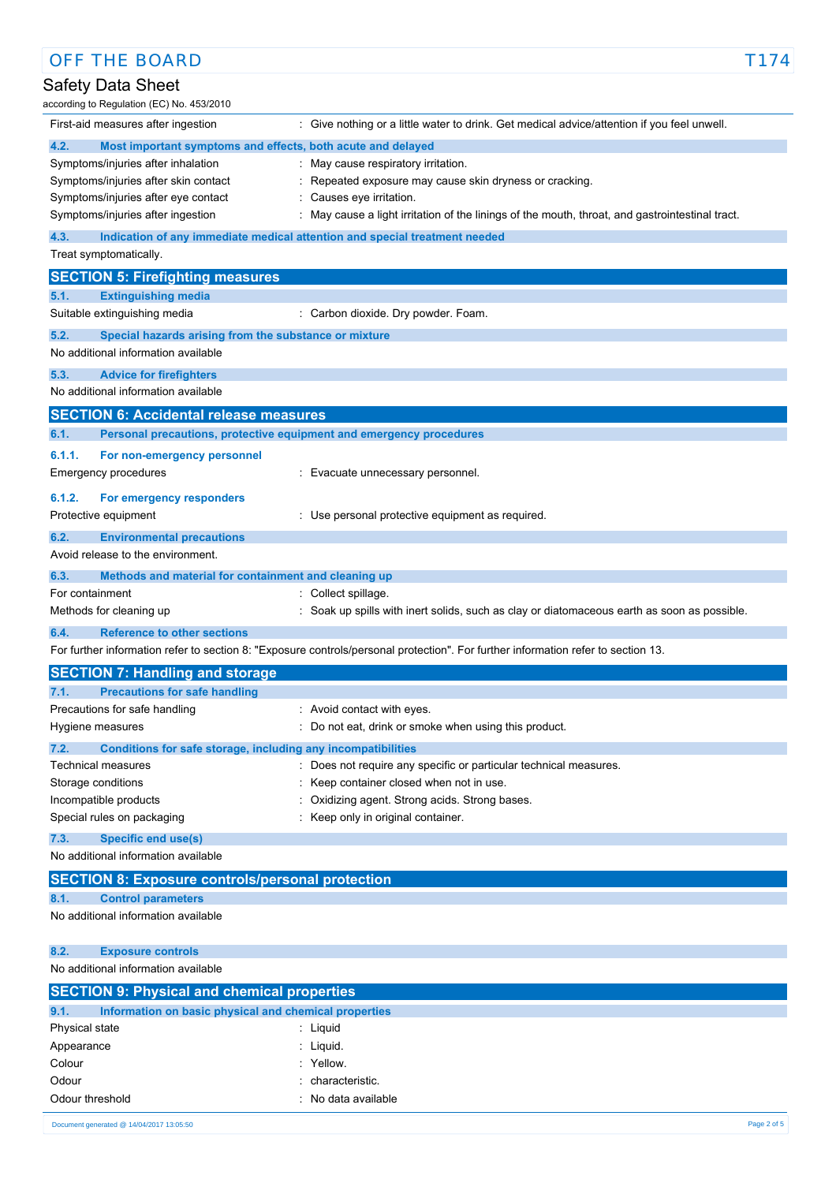| <b>OFF THE BOARD</b>                                                          |                                                                                                                                   | T174        |
|-------------------------------------------------------------------------------|-----------------------------------------------------------------------------------------------------------------------------------|-------------|
| Safety Data Sheet                                                             |                                                                                                                                   |             |
| according to Regulation (EC) No. 453/2010                                     |                                                                                                                                   |             |
| First-aid measures after ingestion                                            | : Give nothing or a little water to drink. Get medical advice/attention if you feel unwell.                                       |             |
| 4.2.<br>Most important symptoms and effects, both acute and delayed           |                                                                                                                                   |             |
| Symptoms/injuries after inhalation                                            | : May cause respiratory irritation.                                                                                               |             |
| Symptoms/injuries after skin contact                                          | : Repeated exposure may cause skin dryness or cracking.                                                                           |             |
| Symptoms/injuries after eye contact                                           | : Causes eye irritation.                                                                                                          |             |
| Symptoms/injuries after ingestion                                             | : May cause a light irritation of the linings of the mouth, throat, and gastrointestinal tract.                                   |             |
| 4.3.                                                                          | Indication of any immediate medical attention and special treatment needed                                                        |             |
| Treat symptomatically.                                                        |                                                                                                                                   |             |
| <b>SECTION 5: Firefighting measures</b>                                       |                                                                                                                                   |             |
| <b>Extinguishing media</b><br>5.1.                                            |                                                                                                                                   |             |
| Suitable extinguishing media                                                  | : Carbon dioxide. Dry powder. Foam.                                                                                               |             |
| 5.2.<br>Special hazards arising from the substance or mixture                 |                                                                                                                                   |             |
| No additional information available                                           |                                                                                                                                   |             |
|                                                                               |                                                                                                                                   |             |
| 5.3.<br><b>Advice for firefighters</b><br>No additional information available |                                                                                                                                   |             |
|                                                                               |                                                                                                                                   |             |
| <b>SECTION 6: Accidental release measures</b>                                 |                                                                                                                                   |             |
| Personal precautions, protective equipment and emergency procedures<br>6.1.   |                                                                                                                                   |             |
| 6.1.1.<br>For non-emergency personnel                                         |                                                                                                                                   |             |
| Emergency procedures                                                          | : Evacuate unnecessary personnel.                                                                                                 |             |
| 6.1.2.<br>For emergency responders                                            |                                                                                                                                   |             |
| Protective equipment                                                          | : Use personal protective equipment as required.                                                                                  |             |
| 6.2.<br><b>Environmental precautions</b>                                      |                                                                                                                                   |             |
| Avoid release to the environment.                                             |                                                                                                                                   |             |
| 6.3.<br>Methods and material for containment and cleaning up                  |                                                                                                                                   |             |
| For containment                                                               | : Collect spillage.                                                                                                               |             |
| Methods for cleaning up                                                       | : Soak up spills with inert solids, such as clay or diatomaceous earth as soon as possible.                                       |             |
| 6.4.<br><b>Reference to other sections</b>                                    |                                                                                                                                   |             |
|                                                                               | For further information refer to section 8: "Exposure controls/personal protection". For further information refer to section 13. |             |
|                                                                               |                                                                                                                                   |             |
| <b>SECTION 7: Handling and storage</b>                                        |                                                                                                                                   |             |
| 7.1.<br><b>Precautions for safe handling</b>                                  |                                                                                                                                   |             |
| Precautions for safe handling<br>Hygiene measures                             | : Avoid contact with eyes.<br>Do not eat, drink or smoke when using this product.                                                 |             |
|                                                                               |                                                                                                                                   |             |
| 7.2.<br>Conditions for safe storage, including any incompatibilities          |                                                                                                                                   |             |
| Technical measures                                                            | : Does not require any specific or particular technical measures.<br>Keep container closed when not in use.                       |             |
| Storage conditions<br>Incompatible products                                   | Oxidizing agent. Strong acids. Strong bases.                                                                                      |             |
| Special rules on packaging                                                    | Keep only in original container.                                                                                                  |             |
|                                                                               |                                                                                                                                   |             |
| 7.3.<br><b>Specific end use(s)</b><br>No additional information available     |                                                                                                                                   |             |
|                                                                               |                                                                                                                                   |             |
| <b>SECTION 8: Exposure controls/personal protection</b>                       |                                                                                                                                   |             |
| <b>Control parameters</b><br>8.1.                                             |                                                                                                                                   |             |
| No additional information available                                           |                                                                                                                                   |             |
|                                                                               |                                                                                                                                   |             |
| 8.2.<br><b>Exposure controls</b>                                              |                                                                                                                                   |             |
| No additional information available                                           |                                                                                                                                   |             |
| <b>SECTION 9: Physical and chemical properties</b>                            |                                                                                                                                   |             |
| 9.1.<br>Information on basic physical and chemical properties                 |                                                                                                                                   |             |
| Physical state                                                                | : Liquid                                                                                                                          |             |
| Appearance                                                                    | Liquid.                                                                                                                           |             |
| Colour                                                                        | Yellow.                                                                                                                           |             |
| Odour                                                                         | characteristic.                                                                                                                   |             |
| Odour threshold                                                               | : No data available                                                                                                               |             |
| Document generated @ 14/04/2017 13:05:50                                      |                                                                                                                                   | Page 2 of 5 |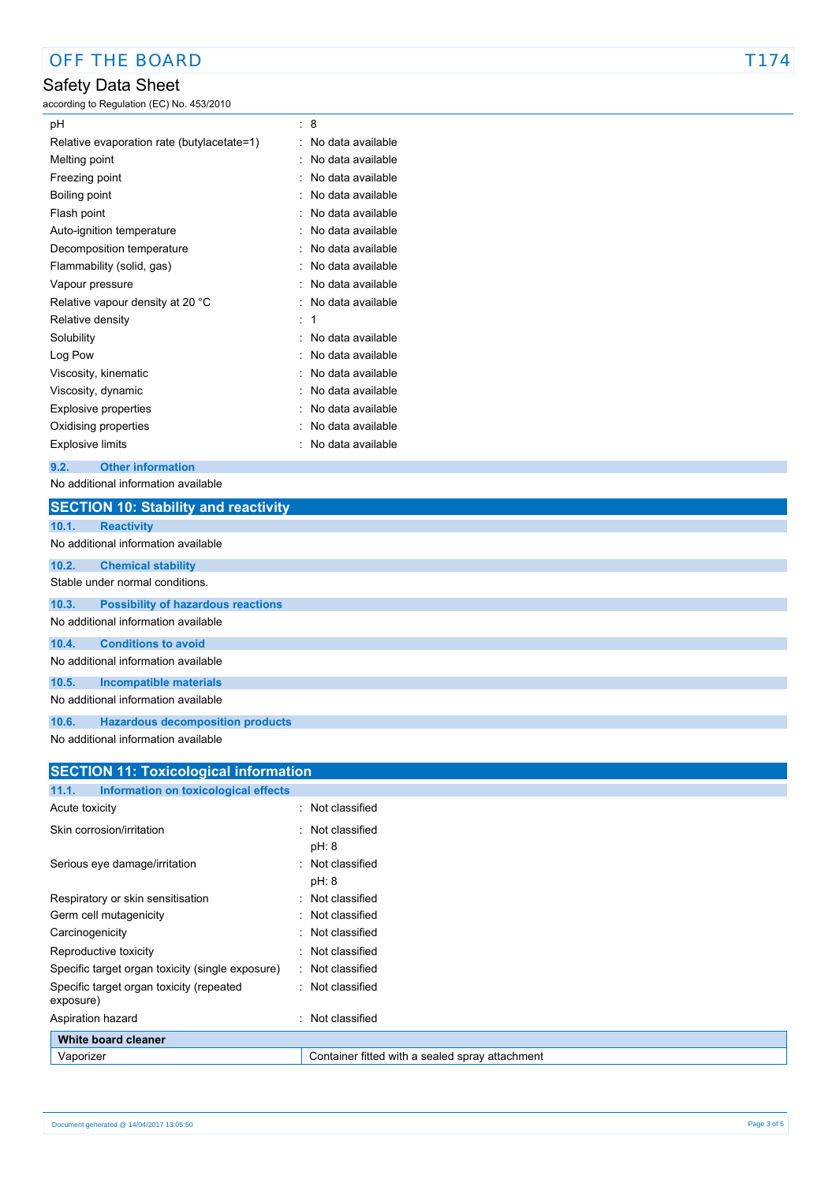# Safety Data Sheet

according to Regulation (EC) No. 453/2010

| рH                                         | t. | 8                 |
|--------------------------------------------|----|-------------------|
| Relative evaporation rate (butylacetate=1) |    | No data available |
| Melting point                              |    | No data available |
| Freezing point                             |    | No data available |
| Boiling point                              |    | No data available |
| Flash point                                |    | No data available |
| Auto-ignition temperature                  |    | No data available |
| Decomposition temperature                  |    | No data available |
| Flammability (solid, gas)                  |    | No data available |
| Vapour pressure                            |    | No data available |
| Relative vapour density at 20 °C           |    | No data available |
| Relative density                           | t  | 1                 |
| Solubility                                 |    | No data available |
| Log Pow                                    |    | No data available |
| Viscosity, kinematic                       |    | No data available |
| Viscosity, dynamic                         |    | No data available |
| <b>Explosive properties</b>                |    | No data available |
| Oxidising properties                       |    | No data available |
| <b>Explosive limits</b>                    |    | No data available |

#### **9.2. Other information**

No additional information available

|       | <b>SECTION 10: Stability and reactivity</b>            |
|-------|--------------------------------------------------------|
| 10.1. | <b>Reactivity</b>                                      |
|       | No additional information available                    |
| 10.2. | <b>Chemical stability</b>                              |
|       | Stable under normal conditions.                        |
| 10.3. | <b>Possibility of hazardous reactions</b>              |
|       | No additional information available                    |
| 10.4. | <b>Conditions to avoid</b>                             |
|       | No additional information available                    |
| 10.5. | <b>Incompatible materials</b>                          |
|       | No additional information available                    |
| 10.6. | <b>Hazardous decomposition products</b>                |
|       | h le ce e delitie com lin ferronation constituto le la |

No additional information available

| <b>SECTION 11: Toxicological information</b>          |                                                 |  |  |
|-------------------------------------------------------|-------------------------------------------------|--|--|
| 11.1.<br>Information on toxicological effects         |                                                 |  |  |
| Acute toxicity                                        | : Not classified                                |  |  |
| Skin corrosion/irritation                             | : Not classified<br>pH: 8                       |  |  |
| Serious eye damage/irritation                         | : Not classified<br>pH: 8                       |  |  |
| Respiratory or skin sensitisation                     | : Not classified                                |  |  |
| Germ cell mutagenicity                                | : Not classified                                |  |  |
| Carcinogenicity                                       | : Not classified                                |  |  |
| Reproductive toxicity                                 | : Not classified                                |  |  |
| Specific target organ toxicity (single exposure)      | : Not classified                                |  |  |
| Specific target organ toxicity (repeated<br>exposure) | : Not classified                                |  |  |
| Aspiration hazard                                     | Not classified<br>٠                             |  |  |
| White board cleaner                                   |                                                 |  |  |
| Vaporizer                                             | Container fitted with a sealed spray attachment |  |  |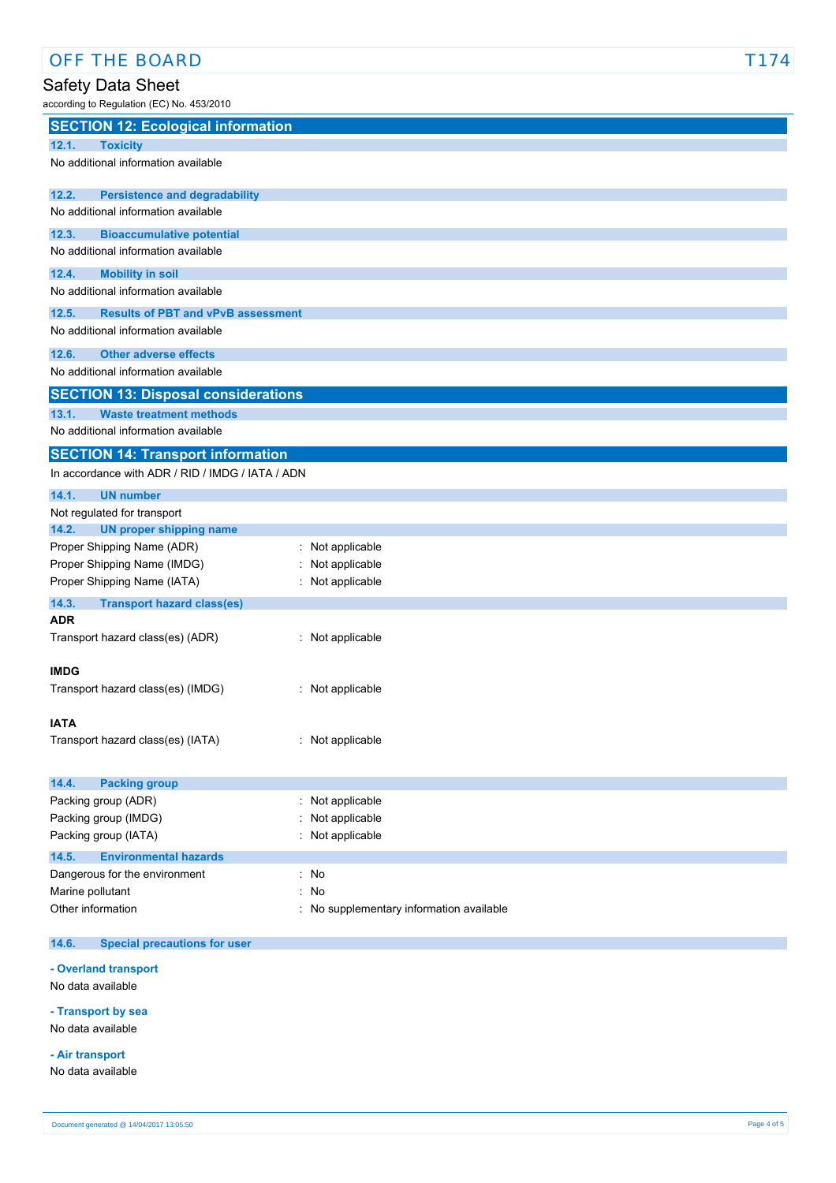# Safety Data Sheet

according to Regulation (EC) No. 453/2010

| <b>SECTION 12: Ecological information</b><br>12.1.<br><b>Toxicity</b><br>No additional information available<br>12.2.<br><b>Persistence and degradability</b><br>No additional information available<br>12.3.<br><b>Bioaccumulative potential</b><br>No additional information available<br>12.4.<br><b>Mobility in soil</b><br>No additional information available<br>12.5.<br><b>Results of PBT and vPvB assessment</b><br>No additional information available<br>12.6.<br><b>Other adverse effects</b><br>No additional information available<br><b>SECTION 13: Disposal considerations</b><br>13.1.<br><b>Waste treatment methods</b><br>No additional information available<br><b>SECTION 14: Transport information</b><br>In accordance with ADR / RID / IMDG / IATA / ADN<br>14.1.<br><b>UN number</b><br>Not regulated for transport<br>14.2.<br><b>UN proper shipping name</b><br>Proper Shipping Name (ADR)<br>: Not applicable<br>Proper Shipping Name (IMDG)<br>: Not applicable<br>Proper Shipping Name (IATA)<br>: Not applicable<br>14.3.<br><b>Transport hazard class(es)</b><br><b>ADR</b><br>Transport hazard class(es) (ADR)<br>: Not applicable<br><b>IMDG</b><br>Transport hazard class(es) (IMDG)<br>: Not applicable<br><b>IATA</b><br>Transport hazard class(es) (IATA)<br>: Not applicable<br>14.4.<br><b>Packing group</b><br>: Not applicable<br>Packing group (ADR)<br>Packing group (IMDG)<br>Not applicable<br>Packing group (IATA)<br>: Not applicable<br>14.5.<br><b>Environmental hazards</b><br>Dangerous for the environment<br>: No |  |  |
|-------------------------------------------------------------------------------------------------------------------------------------------------------------------------------------------------------------------------------------------------------------------------------------------------------------------------------------------------------------------------------------------------------------------------------------------------------------------------------------------------------------------------------------------------------------------------------------------------------------------------------------------------------------------------------------------------------------------------------------------------------------------------------------------------------------------------------------------------------------------------------------------------------------------------------------------------------------------------------------------------------------------------------------------------------------------------------------------------------------------------------------------------------------------------------------------------------------------------------------------------------------------------------------------------------------------------------------------------------------------------------------------------------------------------------------------------------------------------------------------------------------------------------------------------------------------------|--|--|
|                                                                                                                                                                                                                                                                                                                                                                                                                                                                                                                                                                                                                                                                                                                                                                                                                                                                                                                                                                                                                                                                                                                                                                                                                                                                                                                                                                                                                                                                                                                                                                         |  |  |
|                                                                                                                                                                                                                                                                                                                                                                                                                                                                                                                                                                                                                                                                                                                                                                                                                                                                                                                                                                                                                                                                                                                                                                                                                                                                                                                                                                                                                                                                                                                                                                         |  |  |
|                                                                                                                                                                                                                                                                                                                                                                                                                                                                                                                                                                                                                                                                                                                                                                                                                                                                                                                                                                                                                                                                                                                                                                                                                                                                                                                                                                                                                                                                                                                                                                         |  |  |
|                                                                                                                                                                                                                                                                                                                                                                                                                                                                                                                                                                                                                                                                                                                                                                                                                                                                                                                                                                                                                                                                                                                                                                                                                                                                                                                                                                                                                                                                                                                                                                         |  |  |
|                                                                                                                                                                                                                                                                                                                                                                                                                                                                                                                                                                                                                                                                                                                                                                                                                                                                                                                                                                                                                                                                                                                                                                                                                                                                                                                                                                                                                                                                                                                                                                         |  |  |
|                                                                                                                                                                                                                                                                                                                                                                                                                                                                                                                                                                                                                                                                                                                                                                                                                                                                                                                                                                                                                                                                                                                                                                                                                                                                                                                                                                                                                                                                                                                                                                         |  |  |
|                                                                                                                                                                                                                                                                                                                                                                                                                                                                                                                                                                                                                                                                                                                                                                                                                                                                                                                                                                                                                                                                                                                                                                                                                                                                                                                                                                                                                                                                                                                                                                         |  |  |
|                                                                                                                                                                                                                                                                                                                                                                                                                                                                                                                                                                                                                                                                                                                                                                                                                                                                                                                                                                                                                                                                                                                                                                                                                                                                                                                                                                                                                                                                                                                                                                         |  |  |
|                                                                                                                                                                                                                                                                                                                                                                                                                                                                                                                                                                                                                                                                                                                                                                                                                                                                                                                                                                                                                                                                                                                                                                                                                                                                                                                                                                                                                                                                                                                                                                         |  |  |
|                                                                                                                                                                                                                                                                                                                                                                                                                                                                                                                                                                                                                                                                                                                                                                                                                                                                                                                                                                                                                                                                                                                                                                                                                                                                                                                                                                                                                                                                                                                                                                         |  |  |
|                                                                                                                                                                                                                                                                                                                                                                                                                                                                                                                                                                                                                                                                                                                                                                                                                                                                                                                                                                                                                                                                                                                                                                                                                                                                                                                                                                                                                                                                                                                                                                         |  |  |
|                                                                                                                                                                                                                                                                                                                                                                                                                                                                                                                                                                                                                                                                                                                                                                                                                                                                                                                                                                                                                                                                                                                                                                                                                                                                                                                                                                                                                                                                                                                                                                         |  |  |
|                                                                                                                                                                                                                                                                                                                                                                                                                                                                                                                                                                                                                                                                                                                                                                                                                                                                                                                                                                                                                                                                                                                                                                                                                                                                                                                                                                                                                                                                                                                                                                         |  |  |
|                                                                                                                                                                                                                                                                                                                                                                                                                                                                                                                                                                                                                                                                                                                                                                                                                                                                                                                                                                                                                                                                                                                                                                                                                                                                                                                                                                                                                                                                                                                                                                         |  |  |
|                                                                                                                                                                                                                                                                                                                                                                                                                                                                                                                                                                                                                                                                                                                                                                                                                                                                                                                                                                                                                                                                                                                                                                                                                                                                                                                                                                                                                                                                                                                                                                         |  |  |
|                                                                                                                                                                                                                                                                                                                                                                                                                                                                                                                                                                                                                                                                                                                                                                                                                                                                                                                                                                                                                                                                                                                                                                                                                                                                                                                                                                                                                                                                                                                                                                         |  |  |
|                                                                                                                                                                                                                                                                                                                                                                                                                                                                                                                                                                                                                                                                                                                                                                                                                                                                                                                                                                                                                                                                                                                                                                                                                                                                                                                                                                                                                                                                                                                                                                         |  |  |
|                                                                                                                                                                                                                                                                                                                                                                                                                                                                                                                                                                                                                                                                                                                                                                                                                                                                                                                                                                                                                                                                                                                                                                                                                                                                                                                                                                                                                                                                                                                                                                         |  |  |
|                                                                                                                                                                                                                                                                                                                                                                                                                                                                                                                                                                                                                                                                                                                                                                                                                                                                                                                                                                                                                                                                                                                                                                                                                                                                                                                                                                                                                                                                                                                                                                         |  |  |
|                                                                                                                                                                                                                                                                                                                                                                                                                                                                                                                                                                                                                                                                                                                                                                                                                                                                                                                                                                                                                                                                                                                                                                                                                                                                                                                                                                                                                                                                                                                                                                         |  |  |
|                                                                                                                                                                                                                                                                                                                                                                                                                                                                                                                                                                                                                                                                                                                                                                                                                                                                                                                                                                                                                                                                                                                                                                                                                                                                                                                                                                                                                                                                                                                                                                         |  |  |
|                                                                                                                                                                                                                                                                                                                                                                                                                                                                                                                                                                                                                                                                                                                                                                                                                                                                                                                                                                                                                                                                                                                                                                                                                                                                                                                                                                                                                                                                                                                                                                         |  |  |
|                                                                                                                                                                                                                                                                                                                                                                                                                                                                                                                                                                                                                                                                                                                                                                                                                                                                                                                                                                                                                                                                                                                                                                                                                                                                                                                                                                                                                                                                                                                                                                         |  |  |
|                                                                                                                                                                                                                                                                                                                                                                                                                                                                                                                                                                                                                                                                                                                                                                                                                                                                                                                                                                                                                                                                                                                                                                                                                                                                                                                                                                                                                                                                                                                                                                         |  |  |
|                                                                                                                                                                                                                                                                                                                                                                                                                                                                                                                                                                                                                                                                                                                                                                                                                                                                                                                                                                                                                                                                                                                                                                                                                                                                                                                                                                                                                                                                                                                                                                         |  |  |
|                                                                                                                                                                                                                                                                                                                                                                                                                                                                                                                                                                                                                                                                                                                                                                                                                                                                                                                                                                                                                                                                                                                                                                                                                                                                                                                                                                                                                                                                                                                                                                         |  |  |
|                                                                                                                                                                                                                                                                                                                                                                                                                                                                                                                                                                                                                                                                                                                                                                                                                                                                                                                                                                                                                                                                                                                                                                                                                                                                                                                                                                                                                                                                                                                                                                         |  |  |
|                                                                                                                                                                                                                                                                                                                                                                                                                                                                                                                                                                                                                                                                                                                                                                                                                                                                                                                                                                                                                                                                                                                                                                                                                                                                                                                                                                                                                                                                                                                                                                         |  |  |
|                                                                                                                                                                                                                                                                                                                                                                                                                                                                                                                                                                                                                                                                                                                                                                                                                                                                                                                                                                                                                                                                                                                                                                                                                                                                                                                                                                                                                                                                                                                                                                         |  |  |
|                                                                                                                                                                                                                                                                                                                                                                                                                                                                                                                                                                                                                                                                                                                                                                                                                                                                                                                                                                                                                                                                                                                                                                                                                                                                                                                                                                                                                                                                                                                                                                         |  |  |
|                                                                                                                                                                                                                                                                                                                                                                                                                                                                                                                                                                                                                                                                                                                                                                                                                                                                                                                                                                                                                                                                                                                                                                                                                                                                                                                                                                                                                                                                                                                                                                         |  |  |
|                                                                                                                                                                                                                                                                                                                                                                                                                                                                                                                                                                                                                                                                                                                                                                                                                                                                                                                                                                                                                                                                                                                                                                                                                                                                                                                                                                                                                                                                                                                                                                         |  |  |
|                                                                                                                                                                                                                                                                                                                                                                                                                                                                                                                                                                                                                                                                                                                                                                                                                                                                                                                                                                                                                                                                                                                                                                                                                                                                                                                                                                                                                                                                                                                                                                         |  |  |
|                                                                                                                                                                                                                                                                                                                                                                                                                                                                                                                                                                                                                                                                                                                                                                                                                                                                                                                                                                                                                                                                                                                                                                                                                                                                                                                                                                                                                                                                                                                                                                         |  |  |
|                                                                                                                                                                                                                                                                                                                                                                                                                                                                                                                                                                                                                                                                                                                                                                                                                                                                                                                                                                                                                                                                                                                                                                                                                                                                                                                                                                                                                                                                                                                                                                         |  |  |
|                                                                                                                                                                                                                                                                                                                                                                                                                                                                                                                                                                                                                                                                                                                                                                                                                                                                                                                                                                                                                                                                                                                                                                                                                                                                                                                                                                                                                                                                                                                                                                         |  |  |
|                                                                                                                                                                                                                                                                                                                                                                                                                                                                                                                                                                                                                                                                                                                                                                                                                                                                                                                                                                                                                                                                                                                                                                                                                                                                                                                                                                                                                                                                                                                                                                         |  |  |
|                                                                                                                                                                                                                                                                                                                                                                                                                                                                                                                                                                                                                                                                                                                                                                                                                                                                                                                                                                                                                                                                                                                                                                                                                                                                                                                                                                                                                                                                                                                                                                         |  |  |
|                                                                                                                                                                                                                                                                                                                                                                                                                                                                                                                                                                                                                                                                                                                                                                                                                                                                                                                                                                                                                                                                                                                                                                                                                                                                                                                                                                                                                                                                                                                                                                         |  |  |
| No<br>Marine pollutant<br>÷.                                                                                                                                                                                                                                                                                                                                                                                                                                                                                                                                                                                                                                                                                                                                                                                                                                                                                                                                                                                                                                                                                                                                                                                                                                                                                                                                                                                                                                                                                                                                            |  |  |
| Other information<br>: No supplementary information available                                                                                                                                                                                                                                                                                                                                                                                                                                                                                                                                                                                                                                                                                                                                                                                                                                                                                                                                                                                                                                                                                                                                                                                                                                                                                                                                                                                                                                                                                                           |  |  |
| 14.6.<br><b>Special precautions for user</b>                                                                                                                                                                                                                                                                                                                                                                                                                                                                                                                                                                                                                                                                                                                                                                                                                                                                                                                                                                                                                                                                                                                                                                                                                                                                                                                                                                                                                                                                                                                            |  |  |

## **- Overland transport**

No data available

# **- Transport by sea**

No data available

#### **- Air transport**

No data available